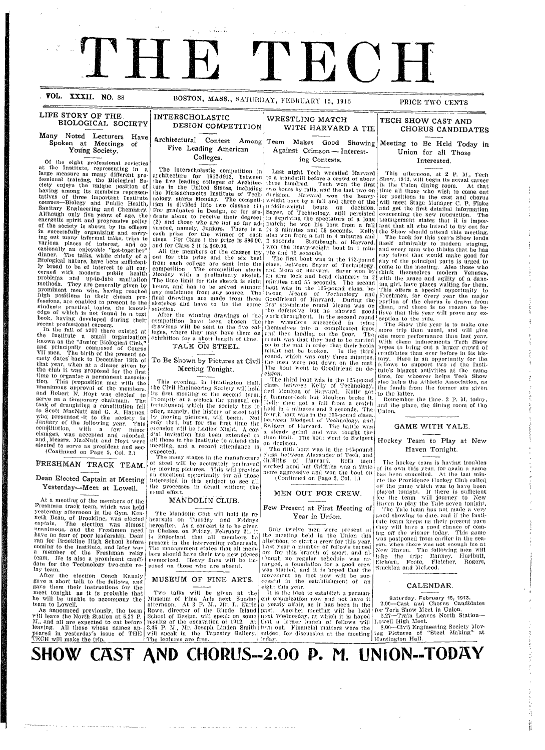# TH H TECH

. VOL. XXXII. NO. 88

LIFE STORY OF THE

### BOSTON, MASS., SATURDAY, FEBRUARY 15, 1913

 $\omega$  , and  $\omega$  ,  $\omega$ 

### PRICE TWO CENTS

### TECH SHOW CAST AND CHORUS CANDIDATES

### Many Noted Lecturers Have<br>Spoken at Meetings of Young Society.

**BIOLOGICAL SOCIETY** 

Spoken at Meetings of<br>
Young Society.<br>
Of the eight professional societies<br>
at the Institute, representing in a<br>
large measure as many different pro-<br>
desty enjoys the unique position of<br>
testional training, the miorical

January of the following year, this<br>constitution, with a few minor<br>changes, was accepted and adopted,<br>and Messrs. MacNutt and Hoyt were<br>elected to serve as president and sec-<br>(Continued on Page 2, Col. 2.)

### FRESHMAN TRACK TEAM.

### Dean Elected Captain at Meeting

Yesterday-Meet at Lowell.

At a meeting of the members of the At a meeting of the members of the<br>Preshman track team, which was held<br>Yesterday afternoon in the Gym. Ken-<br>neth Dean, of Brookline, was elected<br>captain. The election was almost<br>unanimous, and the Freshmen need<br>have no fea coming to the Institute, and later was<br>a nember of the Freshman relay<br>team, He is also a prominent candi-<br>date for the Technology two-mile re-<br>date for the Technology two-mile re-

date for the Technology two-mass relative that the election Coach Kanaly<br>gave a short talk to the fellows, and<br>gave a short talk to the fellows, and<br>gave them their instructions for the<br>meet tonight as it is probable that<br>

### **INTERSCHOLASTIC** DESIGN COMPETITION Architectural Contest Among Five Leading American

a Contra

 $\mathbf{w} = \mathbf{w}$ 

Colleges.

The Interscholastic competition in<br>
urchitecture for 1912-1913, between<br>
the five leading colleges of Architec-<br>
the five leading colleges of Architec-<br>
the Massachusetts Institute of Tech-<br>
nology, starts Monday. The comp

and for Cass 2 it is \$60.00.<br>
All the members of the classes try<br>
out for this prize and the six best<br>
from each college are sent into the<br>
competition The competition starts<br>
Monday with a preliminary sketch.<br>
The time li hours, and has to be solved without<br>any assistance from any source. The<br>final drawings are made from these<br>sketches and have to be the same solution.

solution.<br>After the winning drawings of the<br>competition have been chosen the<br>drawings will be sent to the five col-<br>leges, where they may have them on<br>exhibition for a short length of time. TALK ON STEEL.

### To Be Shown by Pictures at Civil Meeting Tonight.

This evening in Huntington Hall<br>the Civil Engineering Society will hold<br>its first meeting of the second term.<br>Fromptly at 8 o'clock the unusual en-<br>tertainment which the society has to<br>offer, namely, the history of steel t meeting, and a record attendance is

expected.<br>The many stages in the manufacture The many stages in the manuracure<br>of steel will be accurately portrayed<br>by moving pictures. This will provide<br>an excellent opportunity for all those<br>interested in this subject to see all<br>the processes in detail without the

### MANDOLIN CLUB.

The Mandolin Club will hold its re-The Mandolin Club will hold its rehearable on Tuesday and Fridays<br>hereafter. As a concert is to be given<br>in Chelsea on Friday, February 21, it<br>is important that all members be<br>present in the intervening rehearsals.<br>The man

### MUSEUM OF FINE ARTS.

gave them their instructions for the  $\begin{bmatrix} \text{m}{4} \\ \text{m}{4} \\ \text{m}{5} \\ \text{m}{6} \\ \text{m}{6} \\ \text{m}{6} \\ \text{m}{6} \\ \text{m}{6} \\ \text{m}{6} \\ \text{m}{6} \\ \text{m}{6} \\ \text{m}{6} \\ \text{m}{6} \\ \text{m}{6} \\ \text{m}{6} \\ \text{m}{6} \\ \text{m}{6} \\ \text{m}{6} \\ \text{m}{6} \\ \text{m}{6} \\ \text{m}{6} \\ \text{m}{6} \\ \$ 

Team Makes Good Showing Meeting to Be Held Today in Against Crimson - Interesting Contests.

WITH HARVARD A TIE

WRESTLING MATCH

Last night Tech wrestled Harvard<br>to a standstill before a crowd of about<br>three hundred. Tech won the first<br>two bouts by falls, and the last two on<br>detection. Harvard won the heavy-<br>weight bout by a fall and three of the<br>mi Solution by a fall and three of the<br>
biddle-weight bouts on decision.<br>
Shayer, of Technology, still persisted<br>
in depriving the spectators of a long<br>
match; he won his bout from a fall<br>
in 2 minutes and 55 seconds. Kelly<br>

in 2 minutes and 55 seconds. Kelly<br>also won from a fall in 4 minutes and<br>2 seconds. Stanhangh, of Harvard,<br>2 veconds. Stanhangh, of Harvard,<br>won the heavy-weight bout in 1 min-<br>the and 15 seconds.<br>The first bout was in th cision.

eision,<br>
The third bout was in the 125-pound<br>
class, between Kelly of Technology,<br>
and Moulton of Harvard. Kelly got<br>
a hammer-lock but Moulton broke it.<br>
Itelly then got a fall from a crotch<br>
lold in 4 minutes and 2 secon

on decision.<br>The fifth bout was in the 145-pound<br>class between Alexander of Tech, and<br>Griffiths of Harvard. Both men<br>worked good but Griffiths was a little more aggressive and won the bout<br>(Continued on Page 2, Col. 1.) ut on

### MEN OUT FOR CREW.

Few Present at First Meeting of Year in Union.

Only twelve men were present at<br>the meeting held in the Union this<br>afternoon to start a crew for this year. Last year a number of follows turned Last year a number of follows turned<br>out for this branch of sport, and alt<br>though no regular schedule was are<br>ranged, a foundation for a good crew<br>was started, and it is hoped that the<br>movement on foot now will be suc-<br>ces

eight this year.<br>It is the idea to establish a permana is the local to establish a permander of range all real and the past. Another meeting will be held<br>next Wednesday, at which it is hoped<br>that a larger bunch of fellows will since a ranger nuncil of fellows will<br>turn out. Financial matters were the<br>subject for discussion at the meeting<br>today.

Union for all Those Interested.

This afternoon, at 2 P. M., Tech<br>Show, 1913, will begin its actual career<br>in the Union dining room. At that<br>time all those who wish to come out for positions in the cast and chorus<br>will meet Stage Manager C. P. Fiske<br>and get the first detailed information concerning the new production. The<br>banangement states that it is important that all who intend to try out for

ant that all who litend to try out for<br>the Show should attend this meeting.<br>The look for this year's Show lends<br>itself admirably to modern staging,<br>and every man who thinks that he has<br>any talent that would make good for<br>a come to the meeting. Also those who<br>think themselves modern Venuses,<br>with the grace and agility of a dancwith the grace and againty of a dancing for them.<br>This offers a special opportunity to<br>This offers a special opportunity to<br>Freshmen, for every year the major<br>pertion of the chorus is drawn from<br>them, and there is no reaso

requies the rule.<br>The Show this year is to make one<br>more trip than usual, and will give<br>one more performance than last year.<br>With these inducements Tech Show hopes to bring out a larger crowd of<br>candidates than ever before in its hiscongulates than ever before in its mis-<br>tory. Here is an opportunity for the<br>fullows to support two of the Institute's biggest activities at the same<br>time, for whoever helps Tech Show<br>also helps the Athletic Association, a

to the latter.<br>Remember the time, 2 P. M. today,<br>and the place, the dining room of the Union.

### **GAME WITH YALE.**

### Hockey Team to Play at New Haven Tonight.

The hockey team is having troubles<br>of its own this year, for again a game<br>has been cancelled. At the last minor as own that year, for again a game<br>has been cancelled. At the last min-<br>rife the Providence Hockey Club called<br>off the game which was to have been<br>played tonight. If there is sufficient<br>to New<br>Haven to play the Yale gev Eichorn, Foote, Fle<br>Stucklen and McLeod.

### CALENDAR.

Saturday. February 15, 1913.<br>2.00—Cast and Chorus Candidates

held for Tech Show Meet in Union.<br>
pped 5.27—Train Leaves North Station—<br>
will Lowell High Meet.

8.00-Civil Engineering Society Mov-<br>ing Pictures of "Steel Making" at<br>Huntington Hall.

## SHOW CAST AND CHORUS--2.00 P. M. UNION--TODAY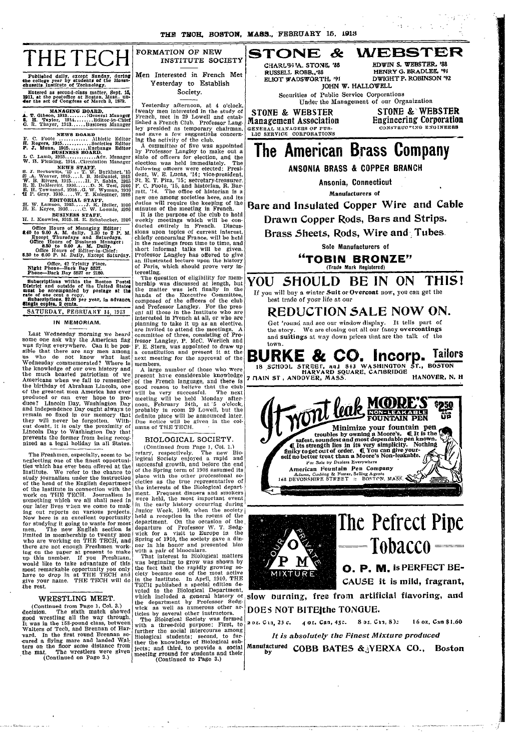THE TEOH, BOSTON, MASS., FEBRUARY 15, 1913

town.



Published daily, except Sunday, during the college year by students of the AMassa-chusettr. Institute of Technology. Entered as second-class matter, Sept. 15, 1911, **at the postoffice at Boston,** Mass.. un- **4er the act of Congfess of March 3, 1579.**

MANAGING BOARD.<br>**A. T.** Gibson, 1913 ............General Manager<br>**E. H. Taylor, 1914 ...........Editor-in-Chief**<br>G. R. Thayer, 1913 ......Business Manager

**NEWS** BOARD F. C. Foote ............ thletic Editor H. Rogers, 1915............Societies Editor **P. J.** Munn. 1915 ........ Exchange **Editor BUSINESS** BOARD. L C. Lamb, 1915 ............. Adv. Manager W. H. Fleming, 1914..Circulation Manager

S. J. Berkowitz, 15 .. T. W. Burkhart, 15<br>
E. A. Weaver, 1915.... I. B. McDaniel, 1915<br>
W. B. Rivers, 1915......H. P. Sabin, 1915<br>
R. E. DeMerritt, 1916......D. M. Test, 1916<br>
R. E. H. Ownsend, 1916.....W. Wyman, 1916<br>
H.

**EDITORIAL STAFF.**<br>H. W. Lamson, 1915.....J. K. Heller, 1916<br>H. E. Keyes, 1916......C. W. Loomis, 1916.

**BUSINESS** STAFF. FI. I. Knowles, 1915.H. E. Sclhabacker, 1916

**Office Hours of Managing Editor:** 8.40 to 9.00 A. M. daily. 1.30 to 2 P. M. Except Thursdays and Saturdays.<br>Office Hours of Business Manager:<br>Office Hours of Business Manager:<br>8.30 to 9.00 A. M. Daily.<br>5.30 to 6.00 P. M. Daily, Except Saturday.

**Office, 42 Trinity Place. Night Phone-Back Bay 5527. Phone-Back Bay 5527 or 2180.**

Subscriptions within the Boston Postal<br>District and outside of the United States<br>must be accompanied by postage at the<br>rate of one cent a copy.<br>Subscriptions, \$2.00 per year, in advance,<br>Single copies, 2 cents.

SATURDAY, FEBRUARY 14, 1913

### **IN** MEMORIAM.

Last Wednesday morning we heard<br>some one ask why the American flag was flying everywhere. Can it be pos-sible that there are any men among us who do not know what last Wednesday commemorated? Where is the knowledge of our own history and the much boasted patriotism of we Americans when we fail to remember the birthday of Abraham Lincoln, one of the greatest men America has ever produced or can ever hope to produce? Lincoln Day, Washington Day and Independence Day ought always to remain so fixed in our memory that they will never be forgotten. With-cut doubt, it is only the proximity of Lincoln Day to Washington Day that prevents the former from being recog-nized as a legal holiday in all States.

The Freshmen, especially, seem to be neglecting one of the finest opportuni-ties which has ever been offered at the Institute. We refer to the chance to study journalism under the instruction of the head of the English department of the Institute in connection with the work on THE TECH. Journalism is something which we all shall need in our later lives whlen we come to making out reports on various projects. Now here is an excellent opportunity for studying it going to waste for most men. The new English section is limited in membership to twenty men who are working on THE TECH, and<br>there are not enough Freshmen work-<br>ing on the paper at present to make<br>up this number. If you Freshman,<br>would like to take advantage of this most remarkable opportunity you only have to drop in at THE TECH and give your name. THE TECH will do the rest.

### WRESTLING MEET.

(Continued from Page 1, Col. 3.) decision. The sixth match showed good wrestling all the way through. It was in the 158-pound class, between Walters of Tech, and Brennan of Harvard. In the first round Brennan se- cured a flying mare and landed **Wal**ters on the floor some distance from the mat. The wrestlers were given (Continued on Page 3.)

FORMATION OF NEW INSTITUTE SOCIETY Men Interested in French Met

Yesterday to Establish Society.

Yesterday afternoon, at 4 o'clock,<br>twenty men interested in the study of<br>French, met in 29 Lowell and established a French Club. Professor Langley presided as temporary chairman, and gave a few suggestions concerning the activity of the club.

A committee of five was appointed by Professor Langley to make out a slate of officers for election, and the election was held immediately. The following officers were elected: President, W. E. Lucas, '14; vice-president, St. E. T. Piza, '15; secretary-treasurer. F. C. Foote, '15, and historian, R. Bar-ratt, '14. The office of historian is a new one among societies here, and its duties will require the keeping of the

minutes of the meeting in French. It is the purpose of the club to hold weekly meetings which will be con-ducted entirely in French. Discus-sions upon topics of current interest, chiefly concerning France, will be held in the meetings from time to time, and short informal talks will be given. Professor Langley has offered to give an illustrated lecture upon the history of Paris, which should prove very in-

teresting. The question of eligibility for mem-bership was discussed at length, but the matter was left finally in the hands of the Executive Committee, composed of the officers of the club and Professor Langley. For the presenf all those in the Institute who are interested in French at all, or who are planning to take it up as an elective, are invited to attend the meetings. A committee of three, consisting of Professor Langley, P. McC. Werlich and F. E. Stern, was appointed to draw up<br>a constitution and present it at the next meeting for the approval of the

members. A large number of those who were present have considerable knowledge of the French language, and there is good reason to believe that the club will be very successful. The next meeting will be held Monday after-noon, February 24th, at '5 o'clock, probably in room 29 Lowell, but the definite place will be announced later. Due notice will be given in the columns of THE TECH.

### BIOLOGICAL SOCIETY.

(Continued from Page 1, Col. 1.) retary, respectively. The new Bio-logical Society enjoyed a rapid and successful growth, and before the end of the Spring term of 1908 assumed its place with the other professional so- cieties as the true representative of the interests of the Biological depart-ment. Frequent dinners and smokers were held, the most important event in the early history occurring during .Junior Week, 1909, when the society held a reception in the rooms of the department. On the occasion of the departure of Professor W. T. Sedg-wick for a visit to Europe in the Spring of 1910, the society gave a din- ner in his honor and presented him with a pair of binoculars. That interest in Biological matters

was beginning to grow was shown by<br>the fact that the rapidly growing so-<br>ciety became one of the most active<br>in the Institute. In April, 1910, THE<br>TECH published a special edition de-<br>voted to the Biological Department, which included a general history **or,** the department by Professor Sedg-wick as well as numerous other ar-

ticles by several other instructors. The Biological Society was formed with a three-fold purpose: First, to further the social intercourse among Biological students: second, to fur-ther the knowledge of Biological subjects; and third, to provide a social meeting ground for students and their (Continued to Page 3.)



 $\mathcal{L}(\mathcal{L})$ 

## **The American Brass Company**

**ANSONIA BRASS** & **COPPER BRANCH**

**Ansonia, Connecticut**

**Manufacturers of**

**Bare and Insulated Copper Wire and Cable Drawn Copper Rods, Bars and Strips.**

**Brass Sheets, Rods, Wire and Tubes.**

**Sole Manufacturers of**

**"TOBIN BRONZE"** (Trade Mark **Registered)**

**YOU SHOULD BE IN ON THISI** If you will buy a winter Suit or Overcoat now, you can get the best trade of your life at our

**REDUCTION SALE NOW ON.** Get 'round and see our window display. It tells part of the story. We are closing out all our fancy overcoatings We are closing out all our fancy overcoatings and suitings at way down prices that are the talk of the

**BURKE & CO. Incorp.** Tailors<br>18 SCHOOL STREET, and 843 WASHINGTON ST., BOSTON<br>7 MAIN ST, ANDOVER, MASS. HANOVER, N. H



I

I



.<br>In the contract of the contract of the contract of the contract of the contract of the contract of the contract of the contract of the contract of the contract of the contract of the co

**slow burning, free from artificial flavoring, and DOES NOT BITEIthe TONGUE.**

**2 OZ. Cia,** *23 c.* **4 oz. Can, 45c. 8** oz. Ci,, **8): 16 oz. Can \$1.60**

- --------·---- ·

*It is absolutely the Finest Mixture produced* Manufactured COBB BATES & <sup>3</sup>YERXA CO., Boston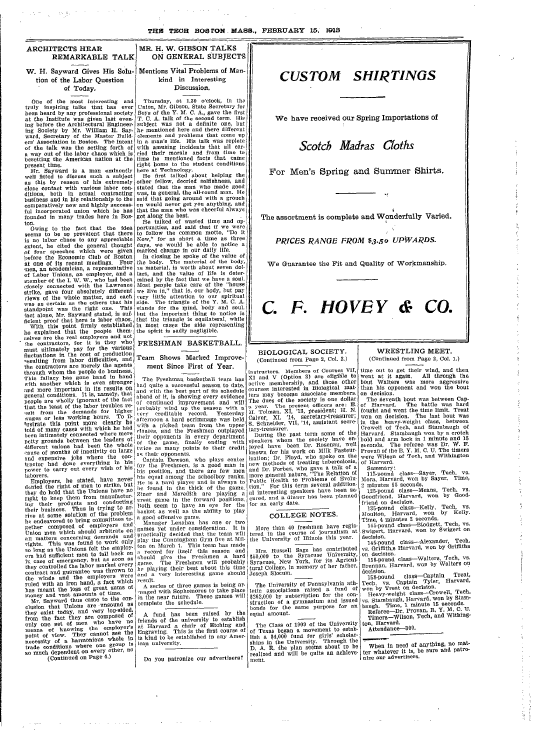### **ARCHITECTS HEAR REMARKABLE TALK**

W. H. Sayward Gives His Solu- Mentions Vital Problems of Mantion of the Labor Question of Today.

One of the most interesting and truly inspiring talks that has ever been heard by any professional society at the Institute was given last even-ing before the Architectural Engineering Society by Mr. William H. Say. ward, Secretary of the Master Build-ers' Association in Boston. The intent of the talk was the setting forth of a way out of the labor chaos which is besetting the American nation at the

present time. Mr. Sayward is a man eminently well fitted to discuss such a subject as this by reason of his extremely close contact with various labor conditions, both in actual contracting<br>business and in his relationship to the<br>comparatively new and highly success-<br>ful incorporated union which he has<br>founded in many trades here in Boston.

Owing to the fact that the idea seems to be so prevalent that there is no labor chaos to any appreciable extent, he cited the general thought of four speeches which were given !oefore the Economic Club of Boston at one of its recent meetings. Four men, an academician, a representative of Labor Unions, an employer, and a member of the I. W. W., who had been closely connected with the Lawrence strike, gave four absolutely different riews of the whole matter, and each was as certain as the others that his standpoint was the right one. This fact alone, Mr. Sayward stated, is suf-ficient proof that here is labor chaos. With this point firmly established

he explained that the people them-selves are the real employers and not -he contractors, for it is they who must ultimately pay for the various fluctuations in the cost of production<br>"esulting from labor difficulties, and<br>the contractors are merely the agents<br>through whom the people do business. This fallacy has gone hand in hand with another which is even stronger and more important in its results on<br>general conditions. It is, namely, that people are wholly ignorant of the fact<br>that the least of the labor troubles re-<br>sult from the demands for higher<br>wages or less working hours. To illustrate this point more clearly hei told of many cases with which he had been intimately connected where mere petty grounds between the leaders of different unions had been the whole ,cause of months of inactivity on large and expensive jobs where the con-tractor had done everything in his power to carry out every wish of his laborers.

Employers, he stated, have never denied the right of men to strike, but they do hold that the Unions have no right to keep them from manufacturing their products and conducting their business. Thus in trying to arrive at some solution of the problem<br>he endeavored to bring committees to-<br>gether composed of employers and<br>Union men which should arbitrate on<br>all matters concerning demands and<br>rights. This was found to work only<br>so long ers had sufficient men to fall back on i case of emergency, but as soon as they controlled the labor market every contract and guarantee was thrown to the winds and the employers were ruled with an iron hand, a fact which has meant the loss of great sums of money and vast amounts of time. Mr. Sayward thus came to the con-

clusion that Unions are unsound as they exist today, and very lop-sided, from the fact they are composed of only one set of men who have no means of knowing the employer's point of view. They cannot see the necessity of a harmonious whole in trade conditions where one group is so much dependent on every other, no (Continued on Page 4.)

#### \_ - \* ~~~~~~~~~~~~~~~~~~~~~~~~~~~~~~~~~~~~~~~~~~~~~~~~~~~~~ **MR. H. W. GIBSON TALKS** ON GENERAL SUBJECTS I

kind in Interesting Discussion.

Thursday, at 1.30 o'clock, in the Union, Mr. Gibson, State Secretary for Boys of the Y. M. C. A., gave the first T. C. A. talk of the second term. His<br>subject was not a definite one, but<br>he mentioned here and there different<br>elements and problems that come up<br> $\frac{1}{2}$  in a man's life. His talk was replete with amusing incidents that all car-<br>ried their morals and from time to<br>time he mentioned facts that came I

rime he mentioned facts that came<br>right home to the student conditions<br>here at Technology.<br>He first talked about helping the<br>other fellow, decried selfshness, and<br>stated that the man who made good<br>was, in general, the allsaid that going around with a grouch en would never get you anything, and that the man who was cheerful always got along the best.

He talked of wasted time and op-portunities, and said that if we were to follow the common motto, "Do it Now," for as short a time as three days, we would be able to notice a marked change in our daily life.

In closing he spoke of the value of<br>the body. The material of the body,<br>as material, is worth about seven dollars, and the value of life is determined by the fact that we have a soul. Most people take care of the "house we live in," that is, our body, but pay very little attention to our spiritual side. The triangle of the Y. M. C. A. stands for the mpind, body and soul. but the important thing to notice is that the triangle is equilateral, while in most cases the side representing the spirit is sadly negligible.

#### FRESHMAN BASKETBALL.

### Team Shows Marked Improvement Since First of Year.

The Freshman basketball team has had quite a successful season to date, and with the best part of its schedule ahead of it, is showing every evidence<br>of continued improvement and will<br>probably wind up the season with a<br>very creditable record. Yesterday<br>afternoon a hard scrimmage was held with a picked team from the upper classes, and the Freshmen outplayed their opponents in every department of the game, finally ending with twice as many points to their credit<br>as their opponents.

Captain Dewson, who plays center for the Freshmen, is a good man in his position, and there are few men<br>his equal among the schoolboy ranks.<br>He is a hard player and is always to<br>be found in the thick of the game.<br>Ziner and Meredith are playing a<br>great game in the forward positions. Both seem to have an eye for the I basket as well as the ability to play a good offensive game. Manager Lenalhan has one or two

games yet under consideration. It is practically decided that the team will play the Cunningham Gym five at Mil-ton on March 1. This team has made a record for itself this season and should give the Freshmen a hard game. The Freshmen will probably be playing their best about this time and a very interesting game should result.

A series of three games is being ar-<br>"anged with Sophomores to take place"<br>in the near future. These games will complete the schedule.

A fund has been raised by the friends of the university to establish at Harvard a chair of Etching and Engraving. This is the first course of ts kind to be established in any Amer-ican university.

Do you patronize our advertisers? ment.

### *CUSTOM SHIRTINGS*

We have received our Spring Importations of

*Scotch Madras Cloths*

For Men's Spring and Summer Shirts.

The assortment is complete and Wonderfully Varied.

*PRICES RANGE FROM \$3.50 UPWARDS.*

We Guarantee the Fit and Quality of Workmanship.

# **C.** *F.* **JHOVE** *<sup>Y</sup>* & *co.*

BIOLOGICAL SOCIETY. (Continued from Page 2, Col. 2.)

I

instructors. Members of Courses VII, XI and V (Option 3) are eligible to active membership, and those other courses interested in Biological matters may become associate members. The dues of the society is one dollar a year. The present officers are: E. MAl. Tolman, XI, '13, president; H. N. Calver, XI, '14, secretary-treasurer; S. Schneider, VII, '14, assistant secre- tary-treasurer. i .<br>C a<br>M i

During the past term some of the<br>speakers whom the society have enjoyed have been Dr. Rosenau, well known for his work on Milk Pasteurization; Dr. Floyd, who spoke on the new methods of treating tuberculosis, and Dr. Forbes, who gave a talk of a more general nature, "The Relation of Public Health to Problems of Evolution." For this term several addition-al interesting speakers have been se- cured, and a dinner has been planned for an early date l<br>Si

### COLLEGE NOTES.

More than 40 freshmen have registered in the course of journalism at the University of Illinois this year.

Mrs. Russell Sage has contributed \$50,000 to the Syracuse University, Syracuse, New York, for its Agricul-tural College, in memory of her father, Joseph Slocum.

The University of Pennsylvania athletic associations raised a fund of \$262,000 by subscription for the construction of a gymnasium and issued bonds for the same purpose for an equal amount.

The Class of 1909 of the University of Texas began a movement to establish a \$4,000 fund for girls' scholar-ships in the University. Through the D. A. R. the plan seems about to be realized and will be quite an achieve-

### WRESTLING MEET. (Continued from Page 2, Col. 1.)

I

time out to get their wind, and then went at it again. All through the bout Walters was more aggressive than his opponent and won the bout on decision.

The seventh bout was between Cap-<br>of Harvard. The battle was hard<br>fought and went the time limit. Treat won on decision. The last bout was in the heavy-weight class, between Crowell of Tech, and Stambaugh of Harvard. Stambaugh won by a crotch bold and arm lock in 1 minute and 15 seconds. The referee was Dr. W. F. Provan of the B. Y. M. C. U. The timers were Wilson of Tech, and Withington of Harvard.

Summary:

115-pound class-Sayer, Tech, vs. Mora, Harvard, won by Sayer. Time,

2 minutes 55 seconds. 125-pound class-Means, Tech, vs. Goodfriend, Harvard, won by Good-

friend on decision. 135-pound class-Kelly, Tech, vs. Moulton, Harvard, won by Kelly.

Time, 4 minutes 2 seconds. 145-pound class-Blodgett, Tech, vs. Swigert, Harvard, won by Swigert on decision.

145-pound class-Alexander, Tech, vs. Griffith,s Harvard, won by Griffiths

on decision. 158-pound class-Walters, Tech, vs. Brennan, Harvard, won by Walters on

decision.<br>\_\_158-pound class—Captain \_\_ Treat Tech, vs. Captain Tyler, Harvard, won by Treat on decision.

Heavy-weight class-Crowell, Tech, vs. Stambaugh, Harvard, won by Stam-baugh. Time, 1 minute 15 seconds.

Referee-Dr. Provan, B. Y. M. C. U. Timers-Wilson, Tech, and Withing-

ton, Harvard. Attendance-300

When in need of anything, no mat-<br>ter whatever it is, be sure and patronize our advertisers